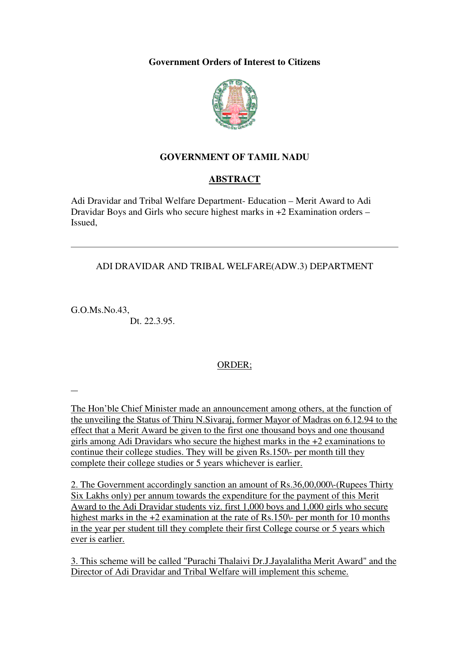**Government Orders of Interest to Citizens** 



## **GOVERNMENT OF TAMIL NADU**

#### **ABSTRACT**

Adi Dravidar and Tribal Welfare Department- Education – Merit Award to Adi Dravidar Boys and Girls who secure highest marks in +2 Examination orders – Issued,

#### ADI DRAVIDAR AND TRIBAL WELFARE(ADW.3) DEPARTMENT

G.O.Ms.No.43, Dt. 22.3.95.

l

## ORDER;

The Hon'ble Chief Minister made an announcement among others, at the function of the unveiling the Status of Thiru N.Sivaraj, former Mayor of Madras on 6.12.94 to the effect that a Merit Award be given to the first one thousand boys and one thousand girls among Adi Dravidars who secure the highest marks in the +2 examinations to continue their college studies. They will be given Rs.150\- per month till they complete their college studies or 5 years whichever is earlier.

2. The Government accordingly sanction an amount of Rs.36,00,000\-(Rupees Thirty Six Lakhs only) per annum towards the expenditure for the payment of this Merit Award to the Adi Dravidar students viz. first 1,000 boys and 1,000 girls who secure highest marks in the +2 examination at the rate of Rs.150\- per month for 10 months in the year per student till they complete their first College course or 5 years which ever is earlier.

3. This scheme will be called "Purachi Thalaivi Dr.J.Jayalalitha Merit Award" and the Director of Adi Dravidar and Tribal Welfare will implement this scheme.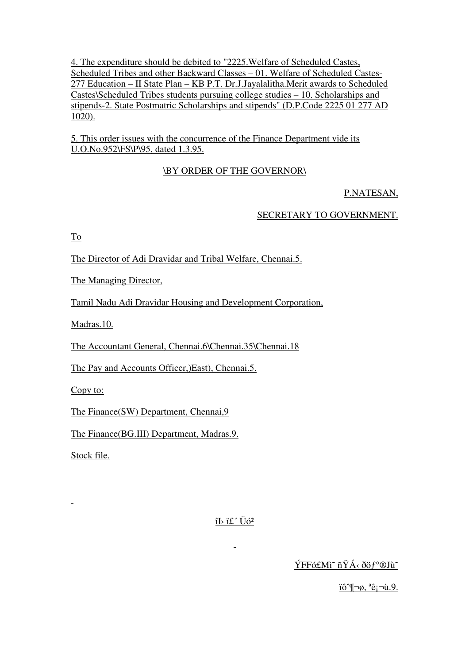4. The expenditure should be debited to "2225. Welfare of Scheduled Castes, Scheduled Tribes and other Backward Classes - 01. Welfare of Scheduled Castes-277 Education – II State Plan – KB P.T. Dr.J.Javalalitha.Merit awards to Scheduled Castes\Scheduled Tribes students pursuing college studies  $-10$ . Scholarships and stipends-2. State Postmatric Scholarships and stipends" (D.P.Code 2225 01 277 AD  $1020$ ).

5. This order issues with the concurrence of the Finance Department vide its U.O.No.952\FS\P\95, dated 1.3.95.

# **\BY ORDER OF THE GOVERNOR\**

# P.NATESAN,

## SECRETARY TO GOVERNMENT.

To

The Director of Adi Dravidar and Tribal Welfare, Chennai.5.

The Managing Director.

Tamil Nadu Adi Dravidar Housing and Development Corporation,

Madras.10.

The Accountant General, Chennai.6\Chennai.35\Chennai.18

The Pay and Accounts Officer, East), Chennai.5.

 $Copy to:$ 

The Finance(SW) Department, Chennai, 9

The Finance(BG.III) Department, Madras.9.

Stock file.

L.

 $\hat{1}$  if  $\hat{U}\hat{0}^2$ 

 $\mathbf{r}$ 

ÝFFó£Mì~ ñŸÁ < ðöf°®Jìì~

iô¶¬ø, <sup>a</sup>ê;¬ù.9.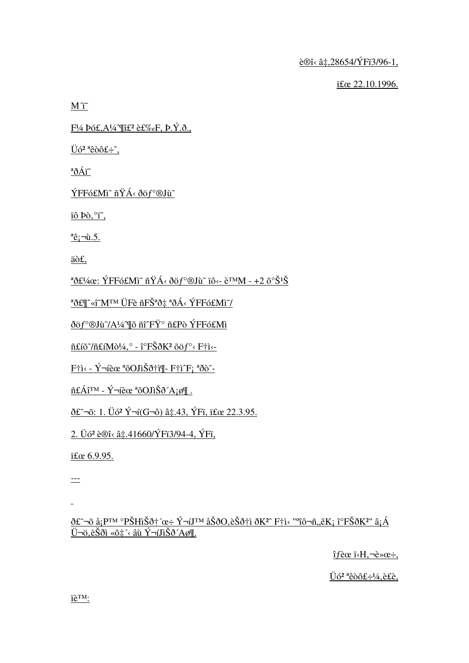è®î< â‡,28654/ÝFï3/96-1.

 22.10.1996.

 $M\ddot{\mathbf{i}}$ 

 $F\frac{1}{4}$  Þó£, A¼ If $f$ <sup>2</sup> 裉F, Þ.Ý.ð.,

 $Ü6<sup>2</sup>$ <sup>a</sup>êòô£÷̃,

 $\partial^a \delta \hat{A} \tilde{I}$ 

ÝFFó£Mî~ ñŸÁ< ðöf°®Jù~

ïô Þò, °ï,

 $a\hat{e}_i \neg u.5$ .

äò£.

<sup>a</sup> $\delta$ £¼œ: ÝFFó£Mî~ ñŸÁ‹ ðöf°®Jù~ ïô‹- è™M - +2 õ°Š<sup>1</sup>Š

<sup>a</sup>ð£¶^«î~M™ ÜFè ñFŠªð‡ ªðÁ< ÝFFó£Mì~/

ðöf°®Jù<sup>~</sup>/A¼<sup>4</sup> nő nî^FŸ° n£Pò ÝFFó£Mì

 $\|\mathbf{f}\|$ jõ $\|\mathbf{f}\|$ m $\|$ d $\|A\|$ ° -  $\|\mathbf{f}\|$ n $\|\mathbf{f}\|$ d $\|\mathbf{f}\|$ d $\|\mathbf{f}\|$ s -  $\|\mathbf{f}\|$ i -

Fils - ݬíèœ ªõOJìŠð†ì¶- F†ì^F; ªðò~-

 $\|\hat{\mathbf{H}}\hat{\mathbf{A}}\|^{TM} - \hat{\mathbf{Y}}\| \|\hat{\mathbf{c}}\|^{2} \|\tilde{\mathbf{c}}\|^{T} \|\tilde{\mathbf{C}}\|^{2} \|\tilde{\mathbf{C}}\|^{T}$ 

 $\delta \mathbf{\hat{t}}$  -  $\delta$ : 1.  $\ddot{\mathrm{U}}$   $\delta^2$   $\dot{\mathrm{Y}}$  - i(G -  $\delta$ )  $\hat{\mathrm{a}}$   $\ddagger$  43,  $\dot{\mathrm{Y}}$  Fi, if  $\alpha$  22.3.95.

2. Üó<sup>2</sup> è®î< â‡.41660/ÝFï3/94-4, ÝFï,

if a 6.9.95.

 $\scriptstyle \cdots$ 

<u>ð£~ō å¡p™ °PŠHìŠð†´œ÷ ݬíJ™ åŠðO,èŠð†ì ðK<sup>2</sup>^ F†ì< "°îô¬ñ,,êK¡ î°FŠðK<sup>2</sup>" â¡Á<br>ܬö,èŠðì «õ‡´< âù ݬíJìŠð´Aø¶.</u>

 $\hat{i}$  fèce  $\hat{i}$   $\langle H, \neg \hat{e} \rangle \times \hat{e}$ :

 $Ü6<sup>2</sup>$ <sup>a</sup>êòô£÷¼,è£è,

ïè™: